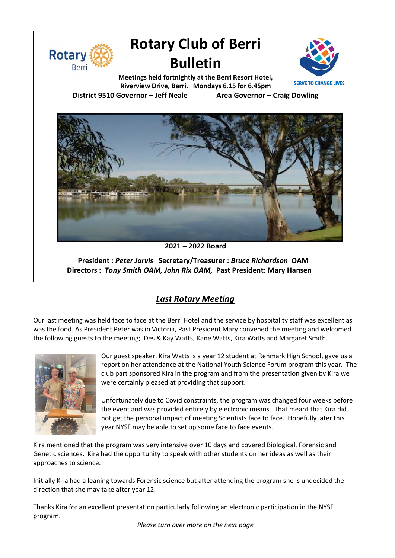

# **Rotary Club of Berri Bulletin**



**Meetings held fortnightly at the Berri Resort Hotel, Riverview Drive, Berri. Mondays 6.15 for 6.45pm District 9510 Governor – Jeff Neale Area Governor – Craig Dowling**



**2021 – 2022 Board**

**President :** *Peter Jarvis* **Secretary/Treasurer :** *Bruce Richardson* **OAM Directors :** *Tony Smith OAM, John Rix OAM,* **Past President: Mary Hansen**

## *Last Rotary Meeting*

Our last meeting was held face to face at the Berri Hotel and the service by hospitality staff was excellent as was the food. As President Peter was in Victoria, Past President Mary convened the meeting and welcomed the following guests to the meeting; Des & Kay Watts, Kane Watts, Kira Watts and Margaret Smith.



Our guest speaker, Kira Watts is a year 12 student at Renmark High School, gave us a report on her attendance at the National Youth Science Forum program this year. The club part sponsored Kira in the program and from the presentation given by Kira we were certainly pleased at providing that support.

Unfortunately due to Covid constraints, the program was changed four weeks before the event and was provided entirely by electronic means. That meant that Kira did not get the personal impact of meeting Scientists face to face. Hopefully later this year NYSF may be able to set up some face to face events.

Kira mentioned that the program was very intensive over 10 days and covered Biological, Forensic and Genetic sciences. Kira had the opportunity to speak with other students on her ideas as well as their approaches to science.

Initially Kira had a leaning towards Forensic science but after attending the program she is undecided the direction that she may take after year 12.

Thanks Kira for an excellent presentation particularly following an electronic participation in the NYSF program.